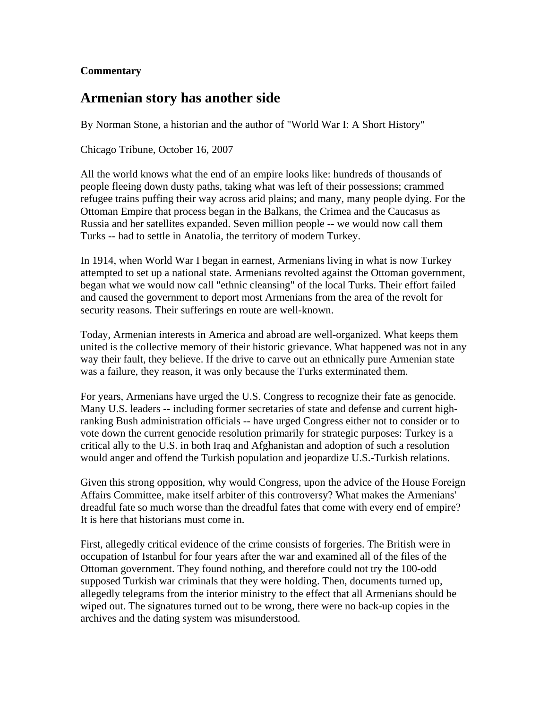## **Commentary**

## **Armenian story has another side**

By Norman Stone, a historian and the author of "World War I: A Short History"

Chicago Tribune, October 16, 2007

All the world knows what the end of an empire looks like: hundreds of thousands of people fleeing down dusty paths, taking what was left of their possessions; crammed refugee trains puffing their way across arid plains; and many, many people dying. For the Ottoman Empire that process began in the Balkans, the Crimea and the Caucasus as Russia and her satellites expanded. Seven million people -- we would now call them Turks -- had to settle in Anatolia, the territory of modern Turkey.

In 1914, when World War I began in earnest, Armenians living in what is now Turkey attempted to set up a national state. Armenians revolted against the Ottoman government, began what we would now call "ethnic cleansing" of the local Turks. Their effort failed and caused the government to deport most Armenians from the area of the revolt for security reasons. Their sufferings en route are well-known.

Today, Armenian interests in America and abroad are well-organized. What keeps them united is the collective memory of their historic grievance. What happened was not in any way their fault, they believe. If the drive to carve out an ethnically pure Armenian state was a failure, they reason, it was only because the Turks exterminated them.

For years, Armenians have urged the U.S. Congress to recognize their fate as genocide. Many U.S. leaders -- including former secretaries of state and defense and current highranking Bush administration officials -- have urged Congress either not to consider or to vote down the current genocide resolution primarily for strategic purposes: Turkey is a critical ally to the U.S. in both Iraq and Afghanistan and adoption of such a resolution would anger and offend the Turkish population and jeopardize U.S.-Turkish relations.

Given this strong opposition, why would Congress, upon the advice of the House Foreign Affairs Committee, make itself arbiter of this controversy? What makes the Armenians' dreadful fate so much worse than the dreadful fates that come with every end of empire? It is here that historians must come in.

First, allegedly critical evidence of the crime consists of forgeries. The British were in occupation of Istanbul for four years after the war and examined all of the files of the Ottoman government. They found nothing, and therefore could not try the 100-odd supposed Turkish war criminals that they were holding. Then, documents turned up, allegedly telegrams from the interior ministry to the effect that all Armenians should be wiped out. The signatures turned out to be wrong, there were no back-up copies in the archives and the dating system was misunderstood.